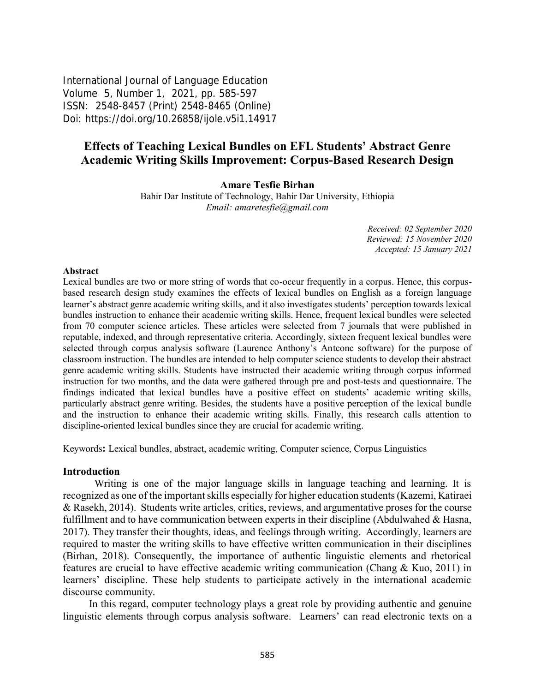International Journal of Language Education Volume 5, Number 1, 2021, pp. 585-597 ISSN: 2548-8457 (Print) 2548-8465 (Online) Doi: <https://doi.org/10.26858/ijole.v5i1.14917>

# **Effects of Teaching Lexical Bundles on EFL Students' Abstract Genre Academic Writing Skills Improvement: Corpus-Based Research Design**

**Amare Tesfie Birhan**

Bahir Dar Institute of Technology, Bahir Dar University, Ethiopia *Email: [amaretesfie@gmail.com](mailto:amaretesfie@gmail.com)*

> *Received: 02 September 2020 Reviewed: 15 November 2020 Accepted: 15 January 2021*

#### **Abstract**

Lexical bundles are two or more string of words that co-occur frequently in a corpus. Hence, this corpusbased research design study examines the effects of lexical bundles on English as a foreign language learner's abstract genre academic writing skills, and it also investigates students' perception towards lexical bundles instruction to enhance their academic writing skills. Hence, frequent lexical bundles were selected from 70 computer science articles. These articles were selected from 7 journals that were published in reputable, indexed, and through representative criteria. Accordingly, sixteen frequent lexical bundles were selected through corpus analysis software (Laurence Anthony's Antconc software) for the purpose of classroom instruction. The bundles are intended to help computer science students to develop their abstract genre academic writing skills. Students have instructed their academic writing through corpus informed instruction for two months, and the data were gathered through pre and post-tests and questionnaire. The findings indicated that lexical bundles have a positive effect on students' academic writing skills, particularly abstract genre writing. Besides, the students have a positive perception of the lexical bundle and the instruction to enhance their academic writing skills. Finally, this research calls attention to discipline-oriented lexical bundles since they are crucial for academic writing.

Keywords**:** Lexical bundles, abstract, academic writing, Computer science, Corpus Linguistics

#### **Introduction**

Writing is one of the major language skills in language teaching and learning. It is recognized as one of the important skills especially for higher education students (Kazemi, Katiraei & Rasekh, 2014). Students write articles, critics, reviews, and argumentative proses for the course fulfillment and to have communication between experts in their discipline (Abdulwahed  $\&$  Hasna, 2017). They transfer their thoughts, ideas, and feelings through writing. Accordingly, learners are required to master the writing skills to have effective written communication in their disciplines (Birhan, 2018). Consequently, the importance of authentic linguistic elements and rhetorical features are crucial to have effective academic writing communication (Chang & Kuo, 2011) in learners' discipline. These help students to participate actively in the international academic discourse community.

In this regard, computer technology plays a great role by providing authentic and genuine linguistic elements through corpus analysis software. Learners' can read electronic texts on a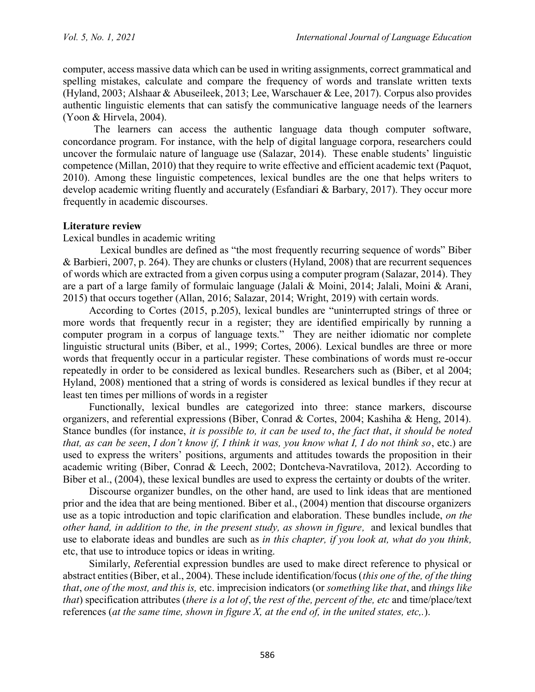computer, access massive data which can be used in writing assignments, correct grammatical and spelling mistakes, calculate and compare the frequency of words and translate written texts (Hyland, 2003; Alshaar & Abuseileek, 2013; Lee, Warschauer & Lee, 2017). Corpus also provides authentic linguistic elements that can satisfy the communicative language needs of the learners (Yoon & Hirvela, 2004).

The learners can access the authentic language data though computer software, concordance program. For instance, with the help of digital language corpora, researchers could uncover the formulaic nature of language use (Salazar, 2014). These enable students' linguistic competence (Millan, 2010) that they require to write effective and efficient academic text (Paquot, 2010). Among these linguistic competences, lexical bundles are the one that helps writers to develop academic writing fluently and accurately (Esfandiari & Barbary, 2017). They occur more frequently in academic discourses.

## **Literature review**

Lexical bundles in academic writing

Lexical bundles are defined as "the most frequently recurring sequence of words" Biber & Barbieri, 2007, p. 264). They are chunks or clusters (Hyland, 2008) that are recurrent sequences of words which are extracted from a given corpus using a computer program (Salazar, 2014). They are a part of a large family of formulaic language (Jalali & Moini, 2014; Jalali, Moini & Arani, 2015) that occurs together (Allan, 2016; Salazar, 2014; Wright, 2019) with certain words.

According to Cortes (2015, p.205), lexical bundles are "uninterrupted strings of three or more words that frequently recur in a register; they are identified empirically by running a computer program in a corpus of language texts." They are neither idiomatic nor complete linguistic structural units (Biber, et al., 1999; Cortes, 2006). Lexical bundles are three or more words that frequently occur in a particular register. These combinations of words must re-occur repeatedly in order to be considered as lexical bundles. Researchers such as (Biber, et al 2004; Hyland, 2008) mentioned that a string of words is considered as lexical bundles if they recur at least ten times per millions of words in a register

Functionally, lexical bundles are categorized into three: stance markers, discourse organizers, and referential expressions (Biber, Conrad & Cortes, 2004; Kashiha & Heng, 2014). Stance bundles (for instance, *it is possible to, it can be used to*, *the fact that*, *it should be noted that, as can be seen*, *I don't know if, I think it was, you know what I, I do not think so*, etc.) are used to express the writers' positions, arguments and attitudes towards the proposition in their academic writing (Biber, Conrad & Leech, 2002; Dontcheva-Navratilova, 2012). According to Biber et al., (2004), these lexical bundles are used to express the certainty or doubts of the writer.

Discourse organizer bundles, on the other hand, are used to link ideas that are mentioned prior and the idea that are being mentioned. Biber et al., (2004) mention that discourse organizers use as a topic introduction and topic clarification and elaboration. These bundles include, *on the other hand, in addition to the, in the present study, as shown in figure,* and lexical bundles that use to elaborate ideas and bundles are such as *in this chapter, if you look at, what do you think,* etc, that use to introduce topics or ideas in writing.

Similarly, *R*eferential expression bundles are used to make direct reference to physical or abstract entities (Biber, et al., 2004). These include identification/focus (*this one of the, of the thing that*, *one of the most, and this is,* etc. imprecision indicators (or *something like that*, and *things like that*) specification attributes (*there is a lot of*, t*he rest of the, percent of the, etc* and time/place/text references (*at the same time, shown in figure X, at the end of, in the united states, etc,.*).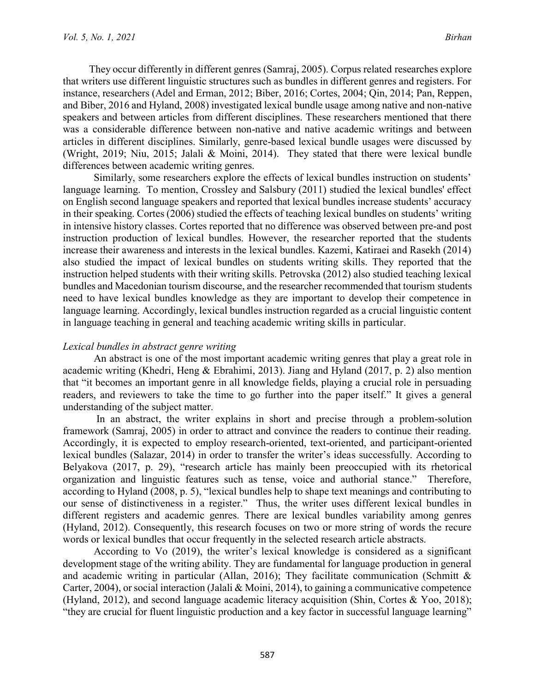They occur differently in different genres (Samraj, 2005). Corpus related researches explore that writers use different linguistic structures such as bundles in different genres and registers. For instance, researchers (Adel and Erman, 2012; Biber, 2016; Cortes, 2004; Qin, 2014; Pan, Reppen, and Biber, 2016 and Hyland, 2008) investigated lexical bundle usage among native and non-native speakers and between articles from different disciplines. These researchers mentioned that there was a considerable difference between non-native and native academic writings and between articles in different disciplines. Similarly, genre-based lexical bundle usages were discussed by (Wright, 2019; Niu, 2015; Jalali & Moini, 2014). They stated that there were lexical bundle differences between academic writing genres.

Similarly, some researchers explore the effects of lexical bundles instruction on students' language learning. To mention, Crossley and Salsbury (2011) studied the lexical bundles' effect on English second language speakers and reported that lexical bundles increase students' accuracy in their speaking. Cortes (2006) studied the effects of teaching lexical bundles on students' writing in intensive history classes. Cortes reported that no difference was observed between pre-and post instruction production of lexical bundles. However, the researcher reported that the students increase their awareness and interests in the lexical bundles. Kazemi, Katiraei and Rasekh (2014) also studied the impact of lexical bundles on students writing skills. They reported that the instruction helped students with their writing skills. Petrovska (2012) also studied teaching lexical bundles and Macedonian tourism discourse, and the researcher recommended that tourism students need to have lexical bundles knowledge as they are important to develop their competence in language learning. Accordingly, lexical bundles instruction regarded as a crucial linguistic content in language teaching in general and teaching academic writing skills in particular.

## *Lexical bundles in abstract genre writing*

An abstract is one of the most important academic writing genres that play a great role in academic writing (Khedri, Heng & Ebrahimi, 2013). Jiang and Hyland (2017, p. 2) also mention that "it becomes an important genre in all knowledge fields, playing a crucial role in persuading readers, and reviewers to take the time to go further into the paper itself." It gives a general understanding of the subject matter.

In an abstract, the writer explains in short and precise through a problem-solution framework (Samraj, 2005) in order to attract and convince the readers to continue their reading. Accordingly, it is expected to employ research-oriented, text-oriented, and participant-oriented lexical bundles (Salazar, 2014) in order to transfer the writer's ideas successfully. According to Belyakova (2017, p. 29), "research article has mainly been preoccupied with its rhetorical organization and linguistic features such as tense, voice and authorial stance." Therefore, according to Hyland (2008, p. 5), "lexical bundles help to shape text meanings and contributing to our sense of distinctiveness in a register." Thus, the writer uses different lexical bundles in different registers and academic genres. There are lexical bundles variability among genres (Hyland, 2012). Consequently, this research focuses on two or more string of words the recure words or lexical bundles that occur frequently in the selected research article abstracts.

According to Vo (2019), the writer's lexical knowledge is considered as a significant development stage of the writing ability. They are fundamental for language production in general and academic writing in particular (Allan, 2016); They facilitate communication (Schmitt  $\&$ Carter, 2004), or social interaction (Jalali & Moini, 2014), to gaining a communicative competence (Hyland, 2012), and second language academic literacy acquisition (Shin, Cortes & Yoo, 2018); "they are crucial for fluent linguistic production and a key factor in successful language learning"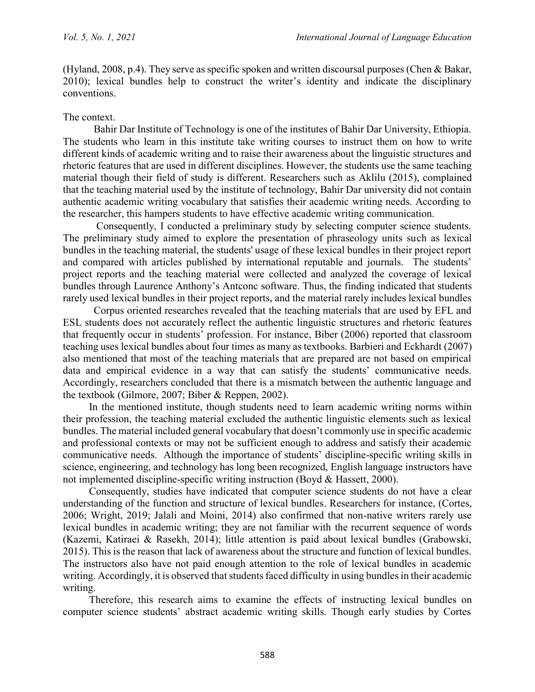(Hyland, 2008, p.4). They serve as specific spoken and written discoursal purposes (Chen & Bakar, 2010); lexical bundles help to construct the writer's identity and indicate the disciplinary conventions.

#### The context.

Bahir Dar Institute of Technology is one of the institutes of Bahir Dar University, Ethiopia. The students who learn in this institute take writing courses to instruct them on how to write different kinds of academic writing and to raise their awareness about the linguistic structures and rhetoric features that are used in different disciplines. However, the students use the same teaching material though their field of study is different. Researchers such as Aklilu (2015), complained that the teaching material used by the institute of technology, Bahir Dar university did not contain authentic academic writing vocabulary that satisfies their academic writing needs. According to the researcher, this hampers students to have effective academic writing communication.

Consequently, I conducted a preliminary study by selecting computer science students. The preliminary study aimed to explore the presentation of phraseology units such as lexical bundles in the teaching material, the students' usage of these lexical bundles in their project report and compared with articles published by international reputable and journals. The students' project reports and the teaching material were collected and analyzed the coverage of lexical bundles through Laurence Anthony's Antconc software. Thus, the finding indicated that students rarely used lexical bundles in their project reports, and the material rarely includes lexical bundles

Corpus oriented researches revealed that the teaching materials that are used by EFL and ESL students does not accurately reflect the authentic linguistic structures and rhetoric features that frequently occur in students' profession. For instance, Biber (2006) reported that classroom teaching uses lexical bundles about four times as many as textbooks. Barbieri and Eckhardt (2007) also mentioned that most of the teaching materials that are prepared are not based on empirical data and empirical evidence in a way that can satisfy the students' communicative needs. Accordingly, researchers concluded that there is a mismatch between the authentic language and the textbook (Gilmore, 2007; Biber & Reppen, 2002).

In the mentioned institute, though students need to learn academic writing norms within their profession, the teaching material excluded the authentic linguistic elements such as lexical bundles. The material included general vocabulary that doesn't commonly use in specific academic and professional contexts or may not be sufficient enough to address and satisfy their academic communicative needs. Although the importance of students' discipline-specific writing skills in science, engineering, and technology has long been recognized, English language instructors have not implemented discipline-specific writing instruction (Boyd & Hassett, 2000).

Consequently, studies have indicated that computer science students do not have a clear understanding of the function and structure of lexical bundles. Researchers for instance, (Cortes, 2006; Wright, 2019; Jalali and Moini, 2014) also confirmed that non-native writers rarely use lexical bundles in academic writing; they are not familiar with the recurrent sequence of words (Kazemi, Katiraei & Rasekh, 2014); little attention is paid about lexical bundles (Grabowski, 2015). This is the reason that lack of awareness about the structure and function of lexical bundles. The instructors also have not paid enough attention to the role of lexical bundles in academic writing. Accordingly, it is observed that students faced difficulty in using bundles in their academic writing.

Therefore, this research aims to examine the effects of instructing lexical bundles on computer science students' abstract academic writing skills. Though early studies by Cortes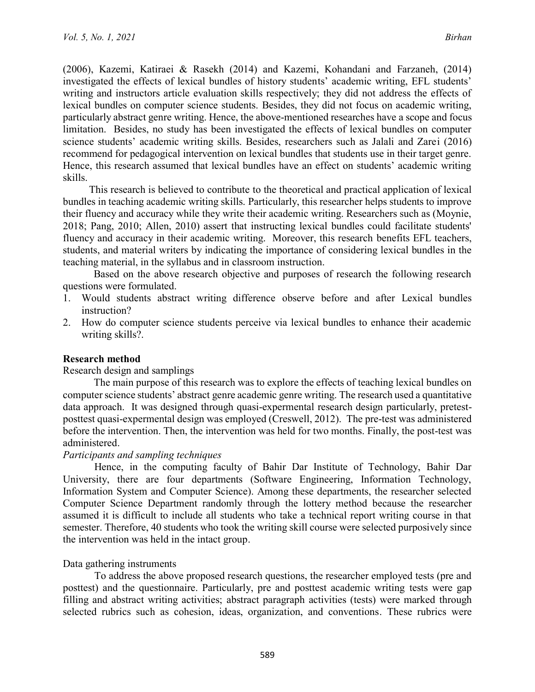(2006), Kazemi, Katiraei & Rasekh (2014) and Kazemi, Kohandani and Farzaneh, (2014) investigated the effects of lexical bundles of history students' academic writing, EFL students' writing and instructors article evaluation skills respectively; they did not address the effects of lexical bundles on computer science students. Besides, they did not focus on academic writing, particularly abstract genre writing. Hence, the above-mentioned researches have a scope and focus limitation. Besides, no study has been investigated the effects of lexical bundles on computer science students' academic writing skills. Besides, researchers such as Jalali and Zarei (2016) recommend for pedagogical intervention on lexical bundles that students use in their target genre. Hence, this research assumed that lexical bundles have an effect on students' academic writing skills.

This research is believed to contribute to the theoretical and practical application of lexical bundles in teaching academic writing skills. Particularly, this researcher helps students to improve their fluency and accuracy while they write their academic writing. Researchers such as (Moynie, 2018; Pang, 2010; Allen, 2010) assert that instructing lexical bundles could facilitate students' fluency and accuracy in their academic writing. Moreover, this research benefits EFL teachers, students, and material writers by indicating the importance of considering lexical bundles in the teaching material, in the syllabus and in classroom instruction.

Based on the above research objective and purposes of research the following research questions were formulated.

- 1. Would students abstract writing difference observe before and after Lexical bundles instruction?
- 2. How do computer science students perceive via lexical bundles to enhance their academic writing skills?.

### **Research method**

### Research design and samplings

The main purpose of this research was to explore the effects of teaching lexical bundles on computer science students' abstract genre academic genre writing. The research used a quantitative data approach. It was designed through quasi-expermental research design particularly, pretestposttest quasi-expermental design was employed (Creswell, 2012). The pre-test was administered before the intervention. Then, the intervention was held for two months. Finally, the post-test was administered.

### *Participants and sampling techniques*

Hence, in the computing faculty of Bahir Dar Institute of Technology, Bahir Dar University, there are four departments (Software Engineering, Information Technology, Information System and Computer Science). Among these departments, the researcher selected Computer Science Department randomly through the lottery method because the researcher assumed it is difficult to include all students who take a technical report writing course in that semester. Therefore, 40 students who took the writing skill course were selected purposively since the intervention was held in the intact group.

### Data gathering instruments

To address the above proposed research questions, the researcher employed tests (pre and posttest) and the questionnaire. Particularly, pre and posttest academic writing tests were gap filling and abstract writing activities; abstract paragraph activities (tests) were marked through selected rubrics such as cohesion, ideas, organization, and conventions. These rubrics were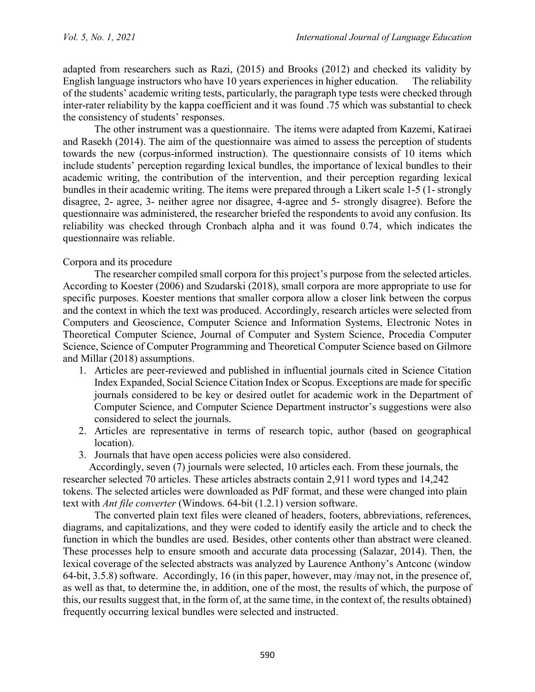adapted from researchers such as Razi, (2015) and Brooks (2012) and checked its validity by English language instructors who have 10 years experiences in higher education. The reliability of the students' academic writing tests, particularly, the paragraph type tests were checked through inter-rater reliability by the kappa coefficient and it was found .75 which was substantial to check the consistency of students' responses.

The other instrument was a questionnaire. The items were adapted from Kazemi, Katiraei and Rasekh (2014). The aim of the questionnaire was aimed to assess the perception of students towards the new (corpus-informed instruction). The questionnaire consists of 10 items which include students' perception regarding lexical bundles, the importance of lexical bundles to their academic writing, the contribution of the intervention, and their perception regarding lexical bundles in their academic writing. The items were prepared through a Likert scale 1-5 (1- strongly disagree, 2- agree, 3- neither agree nor disagree, 4-agree and 5- strongly disagree). Before the questionnaire was administered, the researcher briefed the respondents to avoid any confusion. Its reliability was checked through Cronbach alpha and it was found 0.74, which indicates the questionnaire was reliable.

## Corpora and its procedure

The researcher compiled small corpora for this project's purpose from the selected articles. According to Koester (2006) and Szudarski (2018), small corpora are more appropriate to use for specific purposes. Koester mentions that smaller corpora allow a closer link between the corpus and the context in which the text was produced. Accordingly, research articles were selected from Computers and Geoscience, Computer Science and Information Systems, Electronic Notes in Theoretical Computer Science, Journal of Computer and System Science, Procedia Computer Science, Science of Computer Programming and Theoretical Computer Science based on Gilmore and Millar (2018) assumptions.

- 1. Articles are peer-reviewed and published in influential journals cited in Science Citation Index Expanded, Social Science Citation Index or Scopus. Exceptions are made for specific journals considered to be key or desired outlet for academic work in the Department of Computer Science, and Computer Science Department instructor's suggestions were also considered to select the journals.
- 2. Articles are representative in terms of research topic, author (based on geographical location).
- 3. Journals that have open access policies were also considered.

Accordingly, seven (7) journals were selected, 10 articles each. From these journals, the researcher selected 70 articles. These articles abstracts contain 2,911 word types and 14,242 tokens. The selected articles were downloaded as PdF format, and these were changed into plain text with *Ant file converter* (Windows. 64-bit (1.2.1) version software.

The converted plain text files were cleaned of headers, footers, abbreviations, references, diagrams, and capitalizations, and they were coded to identify easily the article and to check the function in which the bundles are used. Besides, other contents other than abstract were cleaned. These processes help to ensure smooth and accurate data processing (Salazar, 2014). Then, the lexical coverage of the selected abstracts was analyzed by Laurence Anthony's Antconc (window 64-bit, 3.5.8) software. Accordingly, 16 (in this paper, however, may /may not, in the presence of, as well as that, to determine the, in addition, one of the most, the results of which, the purpose of this, our results suggest that, in the form of, at the same time, in the context of, the results obtained) frequently occurring lexical bundles were selected and instructed.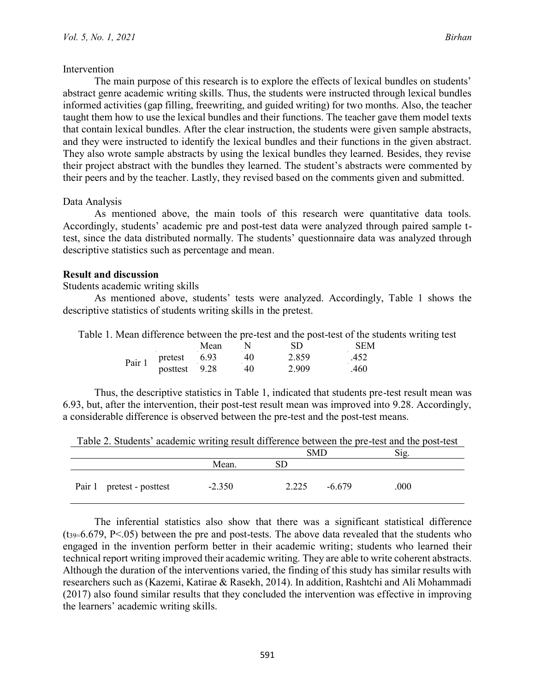## Intervention

The main purpose of this research is to explore the effects of lexical bundles on students' abstract genre academic writing skills. Thus, the students were instructed through lexical bundles informed activities (gap filling, freewriting, and guided writing) for two months. Also, the teacher taught them how to use the lexical bundles and their functions. The teacher gave them model texts that contain lexical bundles. After the clear instruction, the students were given sample abstracts, and they were instructed to identify the lexical bundles and their functions in the given abstract. They also wrote sample abstracts by using the lexical bundles they learned. Besides, they revise their project abstract with the bundles they learned. The student's abstracts were commented by their peers and by the teacher. Lastly, they revised based on the comments given and submitted.

## Data Analysis

As mentioned above, the main tools of this research were quantitative data tools. Accordingly, students' academic pre and post-test data were analyzed through paired sample ttest, since the data distributed normally. The students' questionnaire data was analyzed through descriptive statistics such as percentage and mean.

## **Result and discussion**

Students academic writing skills

As mentioned above, students' tests were analyzed. Accordingly, Table 1 shows the descriptive statistics of students writing skills in the pretest.

Table 1. Mean difference between the pre-test and the post-test of the students writing test

|        |          | Mean | $\sim$ | SD    | SEM  |
|--------|----------|------|--------|-------|------|
| Pair 1 | pretest  | 6.93 | 40     | 2.859 | .452 |
|        | posttest | 9.28 | 40     | 2.909 | .460 |

Thus, the descriptive statistics in Table 1, indicated that students pre-test result mean was 6.93, but, after the intervention, their post-test result mean was improved into 9.28. Accordingly, a considerable difference is observed between the pre-test and the post-test means.

|                           |          | <b>SMD</b>          | Sig. |
|---------------------------|----------|---------------------|------|
|                           | Mean.    | $\operatorname{SD}$ |      |
| Pair 1 pretest - posttest | $-2.350$ | $-6.679$<br>2.225   | .000 |

Table 2. Students' academic writing result difference between the pre-test and the post-test

The inferential statistics also show that there was a significant statistical difference  $(t_{39}=6.679, P<.05)$  between the pre and post-tests. The above data revealed that the students who engaged in the invention perform better in their academic writing; students who learned their technical report writing improved their academic writing. They are able to write coherent abstracts. Although the duration of the interventions varied, the finding of this study has similar results with researchers such as (Kazemi, Katirae & Rasekh, 2014). In addition, Rashtchi and Ali Mohammadi (2017) also found similar results that they concluded the intervention was effective in improving the learners' academic writing skills.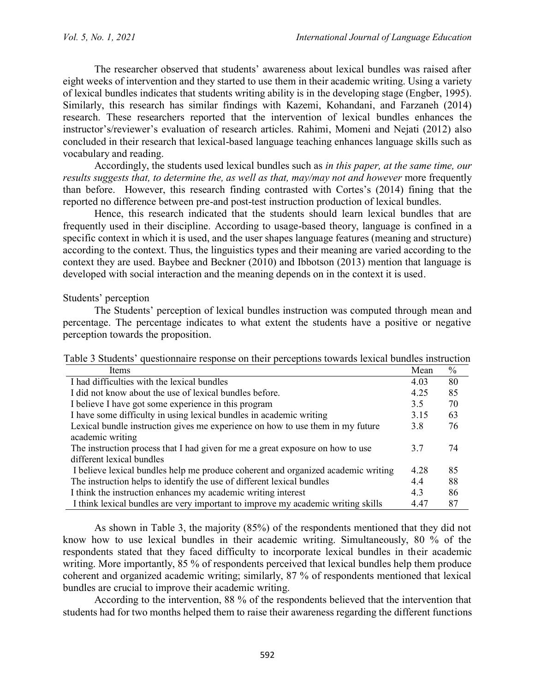The researcher observed that students' awareness about lexical bundles was raised after eight weeks of intervention and they started to use them in their academic writing. Using a variety of lexical bundles indicates that students writing ability is in the developing stage (Engber, 1995). Similarly, this research has similar findings with Kazemi, Kohandani, and Farzaneh (2014) research. These researchers reported that the intervention of lexical bundles enhances the instructor's/reviewer's evaluation of research articles. Rahimi, Momeni and Nejati (2012) also concluded in their research that lexical-based language teaching enhances language skills such as vocabulary and reading.

Accordingly, the students used lexical bundles such as *in this paper, at the same time, our results suggests that, to determine the, as well as that, may/may not and however* more frequently than before. However, this research finding contrasted with Cortes's (2014) fining that the reported no difference between pre-and post-test instruction production of lexical bundles.

Hence, this research indicated that the students should learn lexical bundles that are frequently used in their discipline. According to usage-based theory, language is confined in a specific context in which it is used, and the user shapes language features (meaning and structure) according to the context. Thus, the linguistics types and their meaning are varied according to the context they are used. Baybee and Beckner (2010) and Ibbotson (2013) mention that language is developed with social interaction and the meaning depends on in the context it is used.

## Students' perception

The Students' perception of lexical bundles instruction was computed through mean and percentage. The percentage indicates to what extent the students have a positive or negative perception towards the proposition.

| Items                                                                             | Mean  | $\frac{0}{0}$ |
|-----------------------------------------------------------------------------------|-------|---------------|
| I had difficulties with the lexical bundles                                       | 4.03  | 80            |
| I did not know about the use of lexical bundles before.                           | 4 2 5 | 85            |
| I believe I have got some experience in this program                              | 3.5   | 70            |
| I have some difficulty in using lexical bundles in academic writing               | 3.15  | 63            |
| Lexical bundle instruction gives me experience on how to use them in my future    |       | 76            |
| academic writing                                                                  |       |               |
| The instruction process that I had given for me a great exposure on how to use    | 3.7   | 74            |
| different lexical bundles                                                         |       |               |
| I believe lexical bundles help me produce coherent and organized academic writing | 4.28  | 85            |
| The instruction helps to identify the use of different lexical bundles            |       | 88            |
| I think the instruction enhances my academic writing interest                     | 4.3   | 86            |
| I think lexical bundles are very important to improve my academic writing skills  | 4.47  | 87            |

As shown in Table 3, the majority (85%) of the respondents mentioned that they did not know how to use lexical bundles in their academic writing. Simultaneously, 80 % of the respondents stated that they faced difficulty to incorporate lexical bundles in their academic writing. More importantly, 85 % of respondents perceived that lexical bundles help them produce coherent and organized academic writing; similarly, 87 % of respondents mentioned that lexical bundles are crucial to improve their academic writing.

According to the intervention, 88 % of the respondents believed that the intervention that students had for two months helped them to raise their awareness regarding the different functions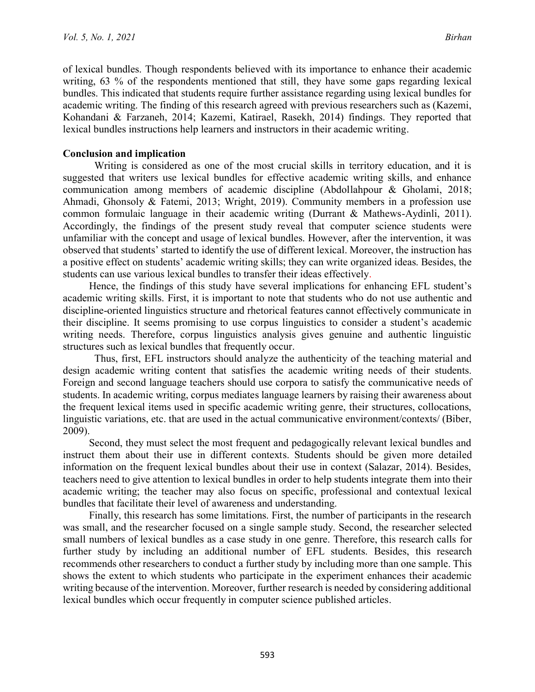of lexical bundles. Though respondents believed with its importance to enhance their academic writing, 63 % of the respondents mentioned that still, they have some gaps regarding lexical bundles. This indicated that students require further assistance regarding using lexical bundles for academic writing. The finding of this research agreed with previous researchers such as (Kazemi, Kohandani & Farzaneh, 2014; Kazemi, Katirael, Rasekh, 2014) findings. They reported that lexical bundles instructions help learners and instructors in their academic writing.

## **Conclusion and implication**

Writing is considered as one of the most crucial skills in territory education, and it is suggested that writers use lexical bundles for effective academic writing skills, and enhance communication among members of academic discipline (Abdollahpour & Gholami, 2018; Ahmadi, Ghonsoly & Fatemi, 2013; Wright, 2019). Community members in a profession use common formulaic language in their academic writing (Durrant & Mathews-Aydinli, 2011). Accordingly, the findings of the present study reveal that computer science students were unfamiliar with the concept and usage of lexical bundles. However, after the intervention, it was observed that students' started to identify the use of different lexical. Moreover, the instruction has a positive effect on students' academic writing skills; they can write organized ideas. Besides, the students can use various lexical bundles to transfer their ideas effectively.

Hence, the findings of this study have several implications for enhancing EFL student's academic writing skills. First, it is important to note that students who do not use authentic and discipline-oriented linguistics structure and rhetorical features cannot effectively communicate in their discipline. It seems promising to use corpus linguistics to consider a student's academic writing needs. Therefore, corpus linguistics analysis gives genuine and authentic linguistic structures such as lexical bundles that frequently occur.

Thus, first, EFL instructors should analyze the authenticity of the teaching material and design academic writing content that satisfies the academic writing needs of their students. Foreign and second language teachers should use corpora to satisfy the communicative needs of students. In academic writing, corpus mediates language learners by raising their awareness about the frequent lexical items used in specific academic writing genre, their structures, collocations, linguistic variations, etc. that are used in the actual communicative environment/contexts/ (Biber, 2009).

Second, they must select the most frequent and pedagogically relevant lexical bundles and instruct them about their use in different contexts. Students should be given more detailed information on the frequent lexical bundles about their use in context (Salazar, 2014). Besides, teachers need to give attention to lexical bundles in order to help students integrate them into their academic writing; the teacher may also focus on specific, professional and contextual lexical bundles that facilitate their level of awareness and understanding.

Finally, this research has some limitations. First, the number of participants in the research was small, and the researcher focused on a single sample study. Second, the researcher selected small numbers of lexical bundles as a case study in one genre. Therefore, this research calls for further study by including an additional number of EFL students. Besides, this research recommends other researchers to conduct a further study by including more than one sample. This shows the extent to which students who participate in the experiment enhances their academic writing because of the intervention. Moreover, further research is needed by considering additional lexical bundles which occur frequently in computer science published articles.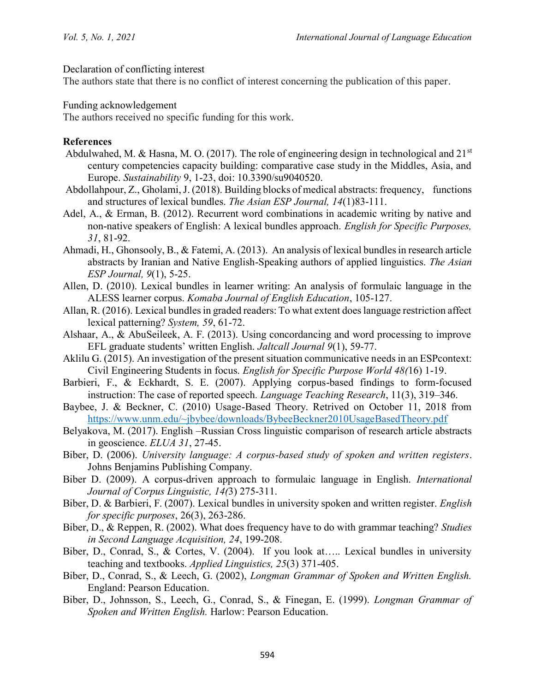Declaration of conflicting interest

The authors state that there is no conflict of interest concerning the publication of this paper.

Funding acknowledgement

The authors received no specific funding for this work.

## **References**

- Abdulwahed, M. & Hasna, M. O. (2017). The role of engineering design in technological and  $21<sup>st</sup>$ century competencies capacity building: comparative case study in the Middles, Asia, and Europe. *Sustainability* 9, 1-23, doi: 10.3390/su9040520.
- Abdollahpour, Z., Gholami, J. (2018). Building blocks of medical abstracts: frequency, functions and structures of lexical bundles. *The Asian ESP Journal, 14*(1)83-111.
- Adel, A., & Erman, B. (2012). Recurrent word combinations in academic writing by native and non-native speakers of English: A lexical bundles approach. *English for Specific Purposes, 31*, 81-92.
- Ahmadi, H., Ghonsooly, B., & Fatemi, A. (2013). An analysis of lexical bundles in research article abstracts by Iranian and Native English-Speaking authors of applied linguistics. *The Asian ESP Journal, 9*(1), 5-25.
- Allen, D. (2010). Lexical bundles in learner writing: An analysis of formulaic language in the ALESS learner corpus. *Komaba Journal of English Education*, 105-127.
- Allan, R. (2016). Lexical bundles in graded readers: To what extent does language restriction affect lexical patterning? *System, 59*, 61-72.
- Alshaar, A., & AbuSeileek, A. F. (2013). Using concordancing and word processing to improve EFL graduate students' written English. *Jaltcall Journal 9*(1), 59-77.
- Aklilu G. (2015). An investigation of the present situation communicative needs in an ESPcontext: Civil Engineering Students in focus. *English for Specific Purpose World 48(*16) 1-19.
- Barbieri, F., & Eckhardt, S. E. (2007). Applying corpus-based findings to form-focused instruction: The case of reported speech*. Language Teaching Research*, 11(3), 319–346.
- Baybee, J. & Beckner, C. (2010) Usage-Based Theory. Retrived on October 11, 2018 from <https://www.unm.edu/~jbybee/downloads/BybeeBeckner2010UsageBasedTheory.pdf>
- Belyakova, M. (2017). English –Russian Cross linguistic comparison of research article abstracts in geoscience. *ELUA 31*, 27-45.
- Biber, D. (2006). *University language: A corpus-based study of spoken and written registers*. Johns Benjamins Publishing Company.
- Biber D. (2009). A corpus-driven approach to formulaic language in English. *International Journal of Corpus Linguistic, 14(*3) 275-311.
- Biber, D. & Barbieri, F. (2007). Lexical bundles in university spoken and written register. *English for specific purposes*, 26(3), 263-286.
- Biber, D., & Reppen, R. (2002). What does frequency have to do with grammar teaching? *Studies in Second Language Acquisition, 24*, 199-208.
- Biber, D., Conrad, S., & Cortes, V. (2004). If you look at….. Lexical bundles in university teaching and textbooks. *Applied Linguistics, 25*(3) 371-405.
- Biber, D., Conrad, S., & Leech, G. (2002), *Longman Grammar of Spoken and Written English.*  England: Pearson Education.
- Biber, D., Johnsson, S., Leech, G., Conrad, S., & Finegan, E. (1999). *Longman Grammar of Spoken and Written English.* Harlow: Pearson Education.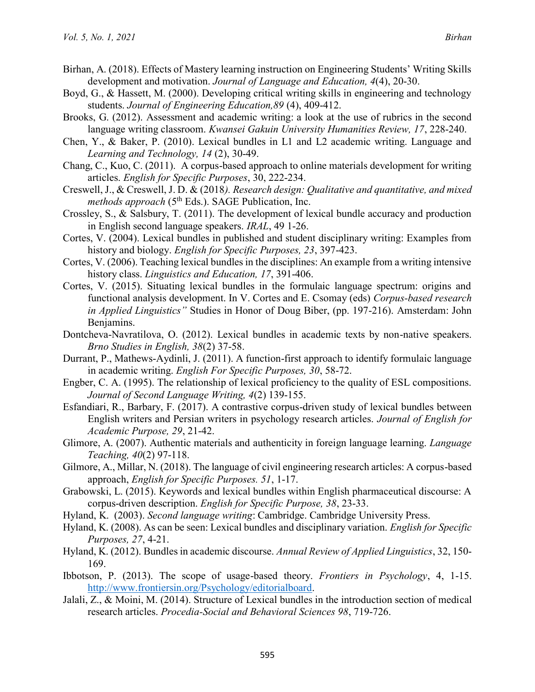- Birhan, A. (2018). Effects of Mastery learning instruction on Engineering Students' Writing Skills development and motivation. *Journal of Language and Education, 4*(4), 20-30.
- Boyd, G., & Hassett, M. (2000). Developing critical writing skills in engineering and technology students. *Journal of Engineering Education,89* (4), 409-412.
- Brooks, G. (2012). Assessment and academic writing: a look at the use of rubrics in the second language writing classroom. *Kwansei Gakuin University Humanities Review, 17*, 228-240.
- Chen, Y., & Baker, P. (2010). Lexical bundles in L1 and L2 academic writing. Language and *Learning and Technology, 14* (2), 30-49.
- Chang, C., Kuo, C. (2011). A corpus-based approach to online materials development for writing articles. *English for Specific Purposes*, 30, 222-234.
- Creswell, J., & Creswell, J. D. & (2018*). Research design: Qualitative and quantitative, and mixed methods approach* (5<sup>th</sup> Eds.). SAGE Publication, Inc.
- Crossley, S., & Salsbury, T. (2011). The development of lexical bundle accuracy and production in English second language speakers. *IRAL*, 49 1-26.
- Cortes, V. (2004). Lexical bundles in published and student disciplinary writing: Examples from history and biology. *English for Specific Purposes, 23*, 397-423.
- Cortes, V. (2006). Teaching lexical bundles in the disciplines: An example from a writing intensive history class. *Linguistics and Education, 17*, 391-406.
- Cortes, V. (2015). Situating lexical bundles in the formulaic language spectrum: origins and functional analysis development. In V. Cortes and E. Csomay (eds) *Corpus-based research in Applied Linguistics"* Studies in Honor of Doug Biber, (pp. 197-216). Amsterdam: John Benjamins.
- Dontcheva-Navratilova, O. (2012). Lexical bundles in academic texts by non-native speakers. *Brno Studies in English, 38*(2) 37-58.
- Durrant, P., Mathews-Aydinli, J. (2011). A function-first approach to identify formulaic language in academic writing. *English For Specific Purposes, 30*, 58-72.
- Engber, C. A. (1995). The relationship of lexical proficiency to the quality of ESL compositions. *Journal of Second Language Writing, 4*(2) 139-155.
- Esfandiari, R., Barbary, F. (2017). A contrastive corpus-driven study of lexical bundles between English writers and Persian writers in psychology research articles. *Journal of English for Academic Purpose, 29*, 21-42.
- Glimore, A. (2007). Authentic materials and authenticity in foreign language learning. *Language Teaching, 40*(2) 97-118.
- Gilmore, A., Millar, N. (2018). The language of civil engineering research articles: A corpus-based approach, *English for Specific Purposes. 51*, 1-17.
- Grabowski, L. (2015). Keywords and lexical bundles within English pharmaceutical discourse: A corpus-driven description. *English for Specific Purpose, 38*, 23-33.
- Hyland, K. (2003). *Second language writing*: Cambridge. Cambridge University Press.
- Hyland, K. (2008). As can be seen: Lexical bundles and disciplinary variation. *English for Specific Purposes, 27*, 4-21.
- Hyland, K. (2012). Bundles in academic discourse. *Annual Review of Applied Linguistics*, 32, 150- 169.
- Ibbotson, P. (2013). The scope of usage-based theory. *Frontiers in Psychology*, 4, 1-15. [http://www.frontiersin.org/Psychology/editorialboard.](http://www.frontiersin.org/Psychology/editorialboard)
- Jalali, Z., & Moini, M. (2014). Structure of Lexical bundles in the introduction section of medical research articles. *Procedia-Social and Behavioral Sciences 98*, 719-726.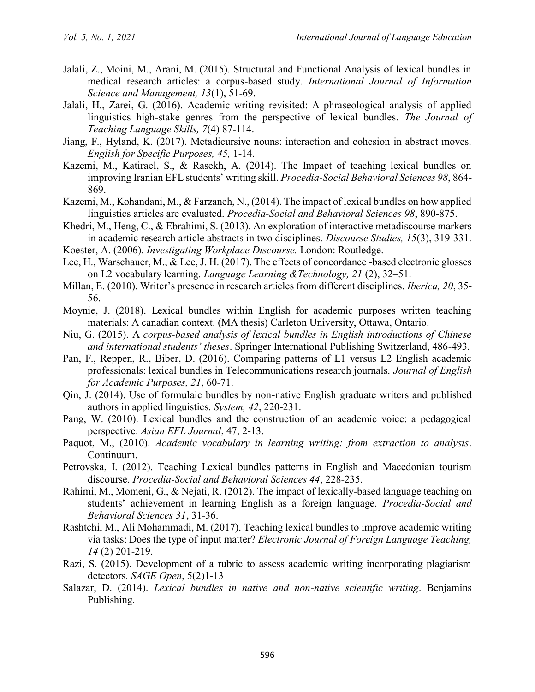- Jalali, Z., Moini, M., Arani, M. (2015). Structural and Functional Analysis of lexical bundles in medical research articles: a corpus-based study. *International Journal of Information Science and Management, 13*(1), 51-69.
- Jalali, H., Zarei, G. (2016). Academic writing revisited: A phraseological analysis of applied linguistics high-stake genres from the perspective of lexical bundles. *The Journal of Teaching Language Skills, 7*(4) 87-114.
- Jiang, F., Hyland, K. (2017). Metadicursive nouns: interaction and cohesion in abstract moves. *English for Specific Purposes, 45,* 1-14.
- Kazemi, M., Katirael, S., & Rasekh, A. (2014). The Impact of teaching lexical bundles on improving Iranian EFL students' writing skill. *Procedia-Social Behavioral Sciences 98*, 864- 869.
- Kazemi, M., Kohandani, M., & Farzaneh, N., (2014). The impact of lexical bundles on how applied linguistics articles are evaluated. *Procedia-Social and Behavioral Sciences 98*, 890-875.
- Khedri, M., Heng, C., & Ebrahimi, S. (2013). An exploration of interactive metadiscourse markers in academic research article abstracts in two disciplines. *Discourse Studies, 15*(3), 319-331.
- Koester, A. (2006). *Investigating Workplace Discourse.* London: Routledge.
- Lee, H., Warschauer, M., & Lee, J. H. (2017). The effects of concordance -based electronic glosses on L2 vocabulary learning. *Language Learning &Technology, 21* (2), 32–51.
- Millan, E. (2010). Writer's presence in research articles from different disciplines. *Iberica, 20*, 35- 56.
- Moynie, J. (2018). Lexical bundles within English for academic purposes written teaching materials: A canadian context. (MA thesis) Carleton University, Ottawa, Ontario.
- Niu, G. (2015). A *corpus-based analysis of lexical bundles in English introductions of Chinese and international students' theses*. Springer International Publishing Switzerland, 486-493.
- Pan, F., Reppen, R., Biber, D. (2016). Comparing patterns of L1 versus L2 English academic professionals: lexical bundles in Telecommunications research journals. *Journal of English for Academic Purposes, 21*, 60-71.
- Qin, J. (2014). Use of formulaic bundles by non-native English graduate writers and published authors in applied linguistics. *System, 42*, 220-231.
- Pang, W. (2010). Lexical bundles and the construction of an academic voice: a pedagogical perspective. *Asian EFL Journal*, 47, 2-13.
- Paquot, M., (2010). *Academic vocabulary in learning writing: from extraction to analysis*. Continuum.
- Petrovska, I. (2012). Teaching Lexical bundles patterns in English and Macedonian tourism discourse. *Procedia-Social and Behavioral Sciences 44*, 228-235.
- Rahimi, M., Momeni, G., & Nejati, R. (2012). The impact of lexically-based language teaching on students' achievement in learning English as a foreign language. *Procedia-Social and Behavioral Sciences 31*, 31-36.
- Rashtchi, M., Ali Mohammadi, M. (2017). Teaching lexical bundles to improve academic writing via tasks: Does the type of input matter? *Electronic Journal of Foreign Language Teaching, 14* (2) 201-219.
- Razi, S. (2015). Development of a rubric to assess academic writing incorporating plagiarism detectors*. SAGE Open*, 5(2)1-13
- Salazar, D. (2014). *Lexical bundles in native and non-native scientific writing*. Benjamins Publishing.